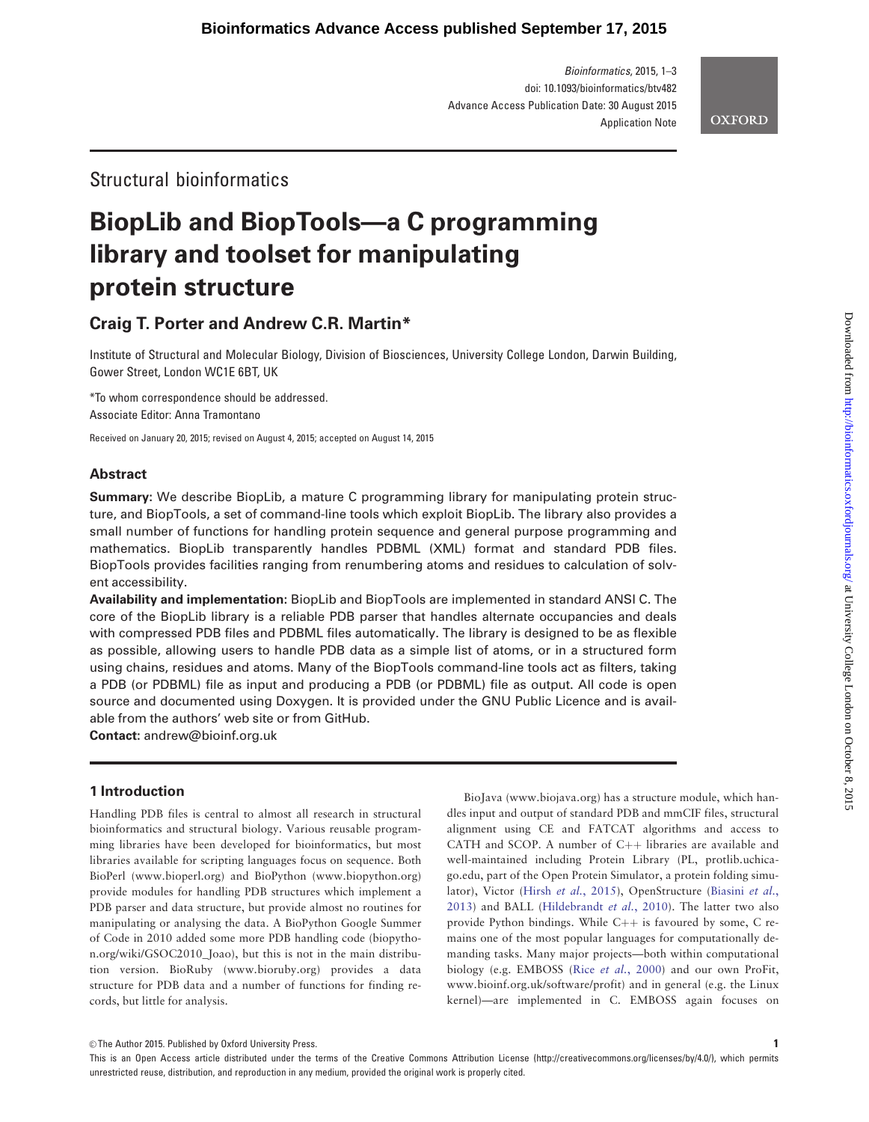Bioinformatics, 2015, 1–3 doi: 10.1093/bioinformatics/btv482 Advance Access Publication Date: 30 August 2015 Application Note

**OXFORD** 

# Structural bioinformatics

# BiopLib and BiopTools—a C programming library and toolset for manipulating protein structure

# Craig T. Porter and Andrew C.R. Martin\*

Institute of Structural and Molecular Biology, Division of Biosciences, University College London, Darwin Building, Gower Street, London WC1E 6BT, UK

\*To whom correspondence should be addressed. Associate Editor: Anna Tramontano

Received on January 20, 2015; revised on August 4, 2015; accepted on August 14, 2015

## Abstract

Summary: We describe BiopLib, a mature C programming library for manipulating protein structure, and BiopTools, a set of command-line tools which exploit BiopLib. The library also provides a small number of functions for handling protein sequence and general purpose programming and mathematics. BiopLib transparently handles PDBML (XML) format and standard PDB files. BiopTools provides facilities ranging from renumbering atoms and residues to calculation of solvent accessibility.

Availability and implementation: BiopLib and BiopTools are implemented in standard ANSI C. The core of the BiopLib library is a reliable PDB parser that handles alternate occupancies and deals with compressed PDB files and PDBML files automatically. The library is designed to be as flexible as possible, allowing users to handle PDB data as a simple list of atoms, or in a structured form using chains, residues and atoms. Many of the BiopTools command-line tools act as filters, taking a PDB (or PDBML) file as input and producing a PDB (or PDBML) file as output. All code is open source and documented using Doxygen. It is provided under the GNU Public Licence and is available from the authors' web site or from GitHub.

Contact: andrew@bioinf.org.uk

# 1 Introduction

Handling PDB files is central to almost all research in structural bioinformatics and structural biology. Various reusable programming libraries have been developed for bioinformatics, but most libraries available for scripting languages focus on sequence. Both BioPerl [\(www.bioperl.org\)](www.bioperl.org) and BioPython (<www.biopython.org>) provide modules for handling PDB structures which implement a PDB parser and data structure, but provide almost no routines for manipulating or analysing the data. A BioPython Google Summer of Code in 2010 added some more PDB handling code (biopython.org/wiki/GSOC2010\_Joao), but this is not in the main distribution version. BioRuby [\(www.bioruby.org](www.bioruby.org)) provides a data structure for PDB data and a number of functions for finding records, but little for analysis.

BioJava [\(www.biojava.org\)](www.biojava.org) has a structure module, which handles input and output of standard PDB and mmCIF files, structural alignment using CE and FATCAT algorithms and access to CATH and SCOP. A number of  $C++$  libraries are available and well-maintained including Protein Library (PL, protlib.uchicago.edu, part of the Open Protein Simulator, a protein folding simulator), Victor (Hirsh et al.[, 2015\)](#page-2-0), OpenStructure ([Biasini](#page-2-0) et al., [2013](#page-2-0)) and BALL [\(Hildebrandt](#page-2-0) et al., 2010). The latter two also provide Python bindings. While  $C++$  is favoured by some, C remains one of the most popular languages for computationally demanding tasks. Many major projects—both within computational biology (e.g. EMBOSS (Rice et al.[, 2000](#page-2-0)) and our own ProFit, <www.bioinf.org.uk/software/profit>) and in general (e.g. the Linux kernel)—are implemented in C. EMBOSS again focuses on

This is an Open Access article distributed under the terms of the Creative Commons Attribution License (http://creativecommons.org/licenses/by/4.0/), which permits unrestricted reuse, distribution, and reproduction in any medium, provided the original work is properly cited.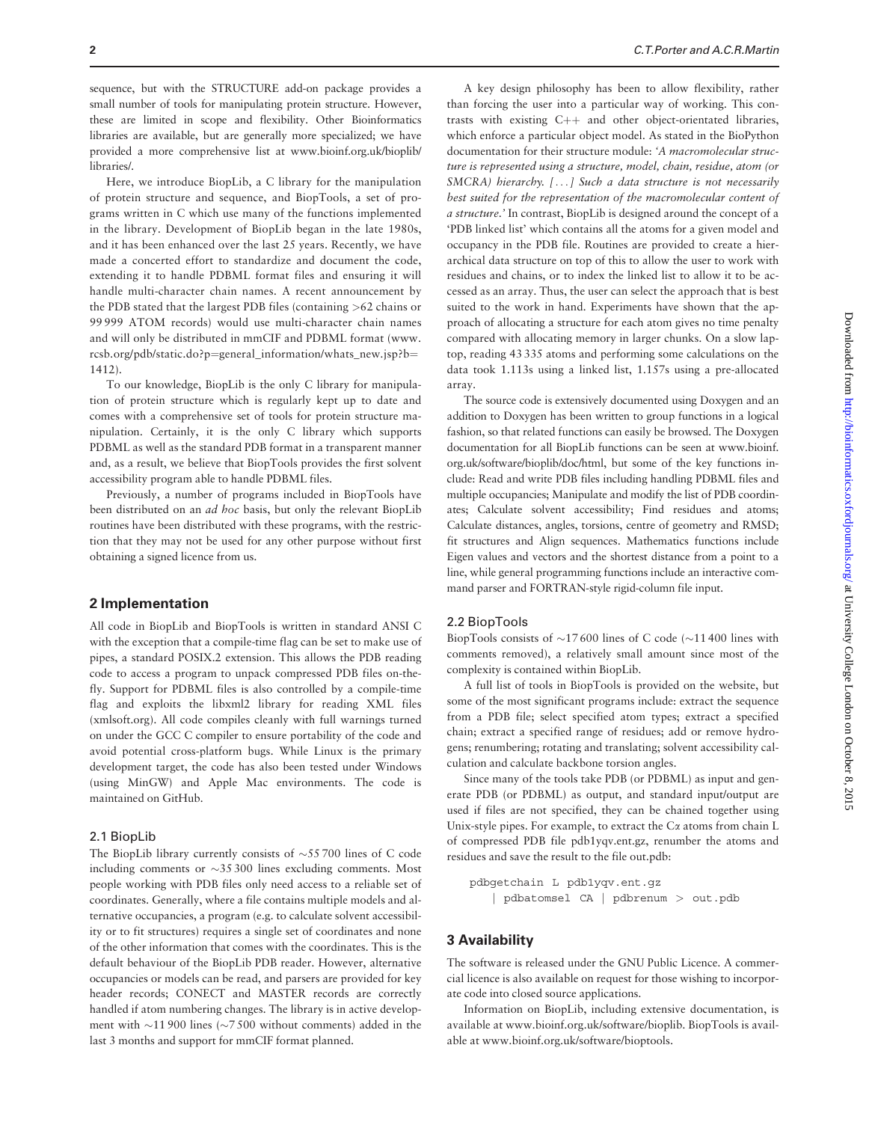sequence, but with the STRUCTURE add-on package provides a small number of tools for manipulating protein structure. However, these are limited in scope and flexibility. Other Bioinformatics libraries are available, but are generally more specialized; we have provided a more comprehensive list at [www.bioinf.org.uk/bioplib/](www.bioinf.org.uk/bioplib/libraries/) [libraries/](www.bioinf.org.uk/bioplib/libraries/).

Here, we introduce BiopLib, a C library for the manipulation of protein structure and sequence, and BiopTools, a set of programs written in C which use many of the functions implemented in the library. Development of BiopLib began in the late 1980s, and it has been enhanced over the last 25 years. Recently, we have made a concerted effort to standardize and document the code, extending it to handle PDBML format files and ensuring it will handle multi-character chain names. A recent announcement by the PDB stated that the largest PDB files (containing >62 chains or 99 999 ATOM records) would use multi-character chain names and will only be distributed in mmCIF and PDBML format ([www.](www.rcsb.org/pdb/static.do?p=general_information/whats_new.jsp?b=1412) [rcsb.org/pdb/static.do?p](www.rcsb.org/pdb/static.do?p=general_information/whats_new.jsp?b=1412)=[general\\_information/whats\\_new.jsp?b](www.rcsb.org/pdb/static.do?p=general_information/whats_new.jsp?b=1412)= [1412](www.rcsb.org/pdb/static.do?p=general_information/whats_new.jsp?b=1412)).

To our knowledge, BiopLib is the only C library for manipulation of protein structure which is regularly kept up to date and comes with a comprehensive set of tools for protein structure manipulation. Certainly, it is the only C library which supports PDBML as well as the standard PDB format in a transparent manner and, as a result, we believe that BiopTools provides the first solvent accessibility program able to handle PDBML files.

Previously, a number of programs included in BiopTools have been distributed on an ad hoc basis, but only the relevant BiopLib routines have been distributed with these programs, with the restriction that they may not be used for any other purpose without first obtaining a signed licence from us.

#### 2 Implementation

All code in BiopLib and BiopTools is written in standard ANSI C with the exception that a compile-time flag can be set to make use of pipes, a standard POSIX.2 extension. This allows the PDB reading code to access a program to unpack compressed PDB files on-thefly. Support for PDBML files is also controlled by a compile-time flag and exploits the libxml2 library for reading XML files (xmlsoft.org). All code compiles cleanly with full warnings turned on under the GCC C compiler to ensure portability of the code and avoid potential cross-platform bugs. While Linux is the primary development target, the code has also been tested under Windows (using MinGW) and Apple Mac environments. The code is maintained on GitHub.

#### 2.1 BiopLib

The BiopLib library currently consists of  $\sim$ 55700 lines of C code including comments or  $\sim$ 35 300 lines excluding comments. Most people working with PDB files only need access to a reliable set of coordinates. Generally, where a file contains multiple models and alternative occupancies, a program (e.g. to calculate solvent accessibility or to fit structures) requires a single set of coordinates and none of the other information that comes with the coordinates. This is the default behaviour of the BiopLib PDB reader. However, alternative occupancies or models can be read, and parsers are provided for key header records; CONECT and MASTER records are correctly handled if atom numbering changes. The library is in active development with  $\sim$ 11900 lines ( $\sim$ 7500 without comments) added in the last 3 months and support for mmCIF format planned.

A key design philosophy has been to allow flexibility, rather than forcing the user into a particular way of working. This contrasts with existing  $C++$  and other object-orientated libraries, which enforce a particular object model. As stated in the BioPython documentation for their structure module: 'A macromolecular structure is represented using a structure, model, chain, residue, atom (or SMCRA) hierarchy. [...] Such a data structure is not necessarily best suited for the representation of the macromolecular content of a structure.' In contrast, BiopLib is designed around the concept of a 'PDB linked list' which contains all the atoms for a given model and occupancy in the PDB file. Routines are provided to create a hierarchical data structure on top of this to allow the user to work with residues and chains, or to index the linked list to allow it to be accessed as an array. Thus, the user can select the approach that is best suited to the work in hand. Experiments have shown that the approach of allocating a structure for each atom gives no time penalty compared with allocating memory in larger chunks. On a slow laptop, reading 43 335 atoms and performing some calculations on the data took 1.113s using a linked list, 1.157s using a pre-allocated array.

The source code is extensively documented using Doxygen and an addition to Doxygen has been written to group functions in a logical fashion, so that related functions can easily be browsed. The Doxygen documentation for all BiopLib functions can be seen at [www.bioinf.](www.bioinf.org.uk/software/bioplib/doc/html) [org.uk/software/bioplib/doc/html,](www.bioinf.org.uk/software/bioplib/doc/html) but some of the key functions include: Read and write PDB files including handling PDBML files and multiple occupancies; Manipulate and modify the list of PDB coordinates; Calculate solvent accessibility; Find residues and atoms; Calculate distances, angles, torsions, centre of geometry and RMSD; fit structures and Align sequences. Mathematics functions include Eigen values and vectors and the shortest distance from a point to a line, while general programming functions include an interactive command parser and FORTRAN-style rigid-column file input.

#### 2.2 BiopTools

BiopTools consists of  $\sim$ 17600 lines of C code ( $\sim$ 11400 lines with comments removed), a relatively small amount since most of the complexity is contained within BiopLib.

A full list of tools in BiopTools is provided on the website, but some of the most significant programs include: extract the sequence from a PDB file; select specified atom types; extract a specified chain; extract a specified range of residues; add or remove hydrogens; renumbering; rotating and translating; solvent accessibility calculation and calculate backbone torsion angles.

Since many of the tools take PDB (or PDBML) as input and generate PDB (or PDBML) as output, and standard input/output are used if files are not specified, they can be chained together using Unix-style pipes. For example, to extract the Ca atoms from chain L of compressed PDB file pdb1yqv.ent.gz, renumber the atoms and residues and save the result to the file out.pdb:

pdbgetchain L pdb1yqv.ent.gz j pdbatomsel CA j pdbrenum > out.pdb

### 3 Availability

The software is released under the GNU Public Licence. A commercial licence is also available on request for those wishing to incorporate code into closed source applications.

Information on BiopLib, including extensive documentation, is available at<www.bioinf.org.uk/software/bioplib>. BiopTools is available at<www.bioinf.org.uk/software/bioptools>.